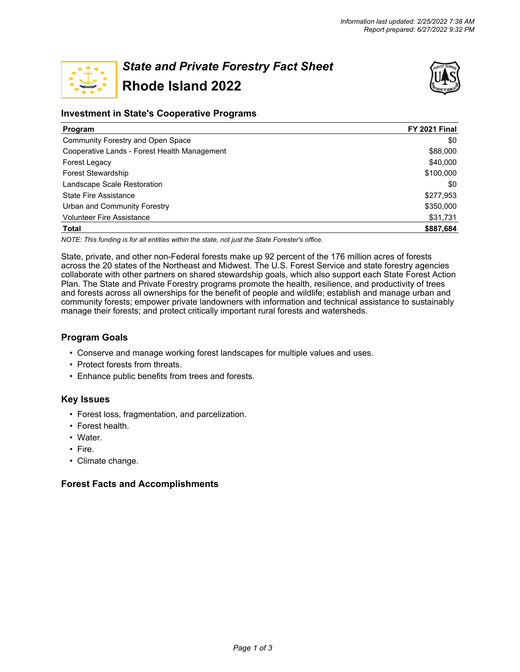

# *State and Private Forestry Fact Sheet* **Rhode Island 2022**



# **Investment in State's Cooperative Programs**

| <b>Program</b>                               | <b>FY 2021 Final</b> |
|----------------------------------------------|----------------------|
| Community Forestry and Open Space            | \$0                  |
| Cooperative Lands - Forest Health Management | \$88,000             |
| Forest Legacy                                | \$40,000             |
| <b>Forest Stewardship</b>                    | \$100,000            |
| Landscape Scale Restoration                  | \$0                  |
| <b>State Fire Assistance</b>                 | \$277,953            |
| Urban and Community Forestry                 | \$350,000            |
| <b>Volunteer Fire Assistance</b>             | \$31,731             |
| <b>Total</b>                                 | \$887.684            |

*NOTE: This funding is for all entities within the state, not just the State Forester's office.*

State, private, and other non-Federal forests make up 92 percent of the 176 million acres of forests across the 20 states of the Northeast and Midwest. The U.S. Forest Service and state forestry agencies collaborate with other partners on shared stewardship goals, which also support each State Forest Action Plan. The State and Private Forestry programs promote the health, resilience, and productivity of trees and forests across all ownerships for the benefit of people and wildlife; establish and manage urban and community forests; empower private landowners with information and technical assistance to sustainably manage their forests; and protect critically important rural forests and watersheds.

# **Program Goals**

- Conserve and manage working forest landscapes for multiple values and uses.
- Protect forests from threats.
- Enhance public benefits from trees and forests.

# **Key Issues**

- Forest loss, fragmentation, and parcelization.
- Forest health.
- Water.
- Fire.
- Climate change.

# **Forest Facts and Accomplishments**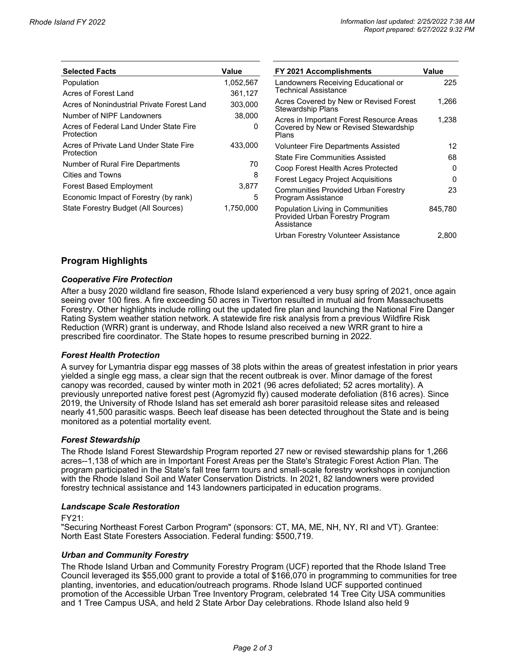| <b>Selected Facts</b>                                | Value     | <b>FY 2021 Ac</b>                                  |
|------------------------------------------------------|-----------|----------------------------------------------------|
| Population                                           | 1,052,567 | Landowners                                         |
| Acres of Forest Land                                 | 361,127   | Technical As                                       |
| Acres of Nonindustrial Private Forest Land           | 303,000   | <b>Acres Cover</b><br>Stewardship                  |
| Number of NIPF Landowners                            | 38,000    | Acres in Imp                                       |
| Acres of Federal Land Under State Fire<br>Protection | 0         | Covered by<br>Plans                                |
| Acres of Private Land Under State Fire<br>Protection | 433,000   | <b>Volunteer Fi</b>                                |
| Number of Rural Fire Departments                     | 70        | State Fire C<br>Coop Forest                        |
| Cities and Towns                                     | 8         | Forest Lega                                        |
| <b>Forest Based Employment</b>                       | 3,877     | Communitie                                         |
| Economic Impact of Forestry (by rank)                | 5         | Program As:                                        |
| State Forestry Budget (All Sources)                  | 1,750,000 | Population L<br><b>Provided Url</b><br>0.000000000 |

| <b>FY 2021 Accomplishments</b>                                                             | Value   |
|--------------------------------------------------------------------------------------------|---------|
| Landowners Receiving Educational or<br>Technical Assistance                                | 225     |
| Acres Covered by New or Revised Forest<br><b>Stewardship Plans</b>                         | 1,266   |
| Acres in Important Forest Resource Areas<br>Covered by New or Revised Stewardship<br>Plans | 1,238   |
| <b>Volunteer Fire Departments Assisted</b>                                                 | 12      |
| <b>State Fire Communities Assisted</b>                                                     | 68      |
| Coop Forest Health Acres Protected                                                         | 0       |
| Forest Legacy Project Acquisitions                                                         | n       |
| Communities Provided Urban Forestry<br>Program Assistance                                  | 23      |
| Population Living in Communities<br>Provided Urban Forestry Program<br>Assistance          | 845,780 |
| Urban Forestry Volunteer Assistance                                                        | 2,800   |

# **Program Highlights**

#### *Cooperative Fire Protection*

After a busy 2020 wildland fire season, Rhode Island experienced a very busy spring of 2021, once again seeing over 100 fires. A fire exceeding 50 acres in Tiverton resulted in mutual aid from Massachusetts Forestry. Other highlights include rolling out the updated fire plan and launching the National Fire Danger Rating System weather station network. A statewide fire risk analysis from a previous Wildfire Risk Reduction (WRR) grant is underway, and Rhode Island also received a new WRR grant to hire a prescribed fire coordinator. The State hopes to resume prescribed burning in 2022.

#### *Forest Health Protection*

A survey for Lymantria dispar egg masses of 38 plots within the areas of greatest infestation in prior years yielded a single egg mass, a clear sign that the recent outbreak is over. Minor damage of the forest canopy was recorded, caused by winter moth in 2021 (96 acres defoliated; 52 acres mortality). A previously unreported native forest pest (Agromyzid fly) caused moderate defoliation (816 acres). Since 2019, the University of Rhode Island has set emerald ash borer parasitoid release sites and released nearly 41,500 parasitic wasps. Beech leaf disease has been detected throughout the State and is being monitored as a potential mortality event.

#### *Forest Stewardship*

The Rhode Island Forest Stewardship Program reported 27 new or revised stewardship plans for 1,266 acres--1,138 of which are in Important Forest Areas per the State's Strategic Forest Action Plan. The program participated in the State's fall tree farm tours and small-scale forestry workshops in conjunction with the Rhode Island Soil and Water Conservation Districts. In 2021, 82 landowners were provided forestry technical assistance and 143 landowners participated in education programs.

#### *Landscape Scale Restoration*

#### FY21:

"Securing Northeast Forest Carbon Program" (sponsors: CT, MA, ME, NH, NY, RI and VT). Grantee: North East State Foresters Association. Federal funding: \$500,719.

#### *Urban and Community Forestry*

The Rhode Island Urban and Community Forestry Program (UCF) reported that the Rhode Island Tree Council leveraged its \$55,000 grant to provide a total of \$166,070 in programming to communities for tree planting, inventories, and education/outreach programs. Rhode Island UCF supported continued promotion of the Accessible Urban Tree Inventory Program, celebrated 14 Tree City USA communities and 1 Tree Campus USA, and held 2 State Arbor Day celebrations. Rhode Island also held 9